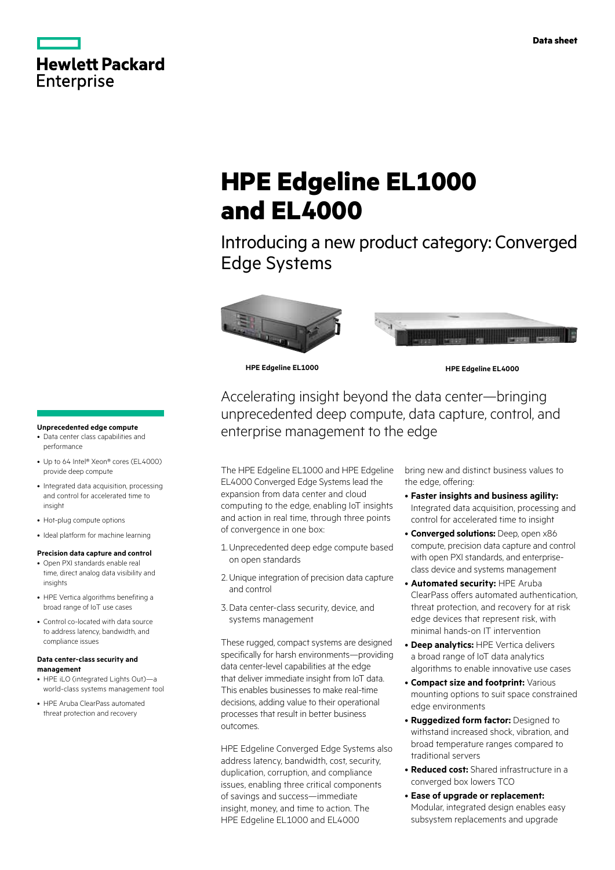

# **HPE Edgeline EL1000 and EL4000**

Introducing a new product category: Converged Edge Systems





**HPE Edgeline EL1000 HPE Edgeline EL4000**

Accelerating insight beyond the data center—bringing unprecedented deep compute, data capture, control, and enterprise management to the edge

The HPE Edgeline EL1000 and HPE Edgeline EL4000 Converged Edge Systems lead the expansion from data center and cloud computing to the edge, enabling IoT insights and action in real time, through three points of convergence in one box:

- 1.Unprecedented deep edge compute based on open standards
- 2. Unique integration of precision data capture and control
- 3.Data center-class security, device, and systems management

These rugged, compact systems are designed specifically for harsh environments—providing data center-level capabilities at the edge that deliver immediate insight from IoT data. This enables businesses to make real-time decisions, adding value to their operational processes that result in better business outcomes.

HPE Edgeline Converged Edge Systems also address latency, bandwidth, cost, security, duplication, corruption, and compliance issues, enabling three critical components of savings and success—immediate insight, money, and time to action. The HPE Edgeline EL1000 and EL4000

bring new and distinct business values to the edge, offering:

- • **Faster insights and business agility:**  Integrated data acquisition, processing and control for accelerated time to insight
- • **Converged solutions:** Deep, open x86 compute, precision data capture and control with open PXI standards, and enterpriseclass device and systems management
- **Automated security: HPE Aruba** ClearPass offers automated authentication, threat protection, and recovery for at risk edge devices that represent risk, with minimal hands-on IT intervention
- **Deep analytics:** HPE Vertica delivers a broad range of IoT data analytics algorithms to enable innovative use cases
- • **Compact size and footprint:** Various mounting options to suit space constrained edge environments
- • **Ruggedized form factor:** Designed to withstand increased shock, vibration, and broad temperature ranges compared to traditional servers
- • **Reduced cost:** Shared infrastructure in a converged box lowers TCO
- • **Ease of upgrade or replacement:**  Modular, integrated design enables easy subsystem replacements and upgrade

## **Unprecedented edge compute**

- Data center class capabilities and performance
- Up to 64 Intel® Xeon® cores (EL4000) provide deep compute
- Integrated data acquisition, processing and control for accelerated time to insight
- Hot-plug compute options
- • Ideal platform for machine learning

#### **Precision data capture and control**

- • Open PXI standards enable real time, direct analog data visibility and insights
- HPE Vertica algorithms benefiting a broad range of IoT use cases
- • Control co-located with data source to address latency, bandwidth, and compliance issues

#### **Data center-class security and management**

- HPE iLO (integrated Lights Out)-a world-class systems management tool
- HPE Aruba ClearPass automated threat protection and recovery